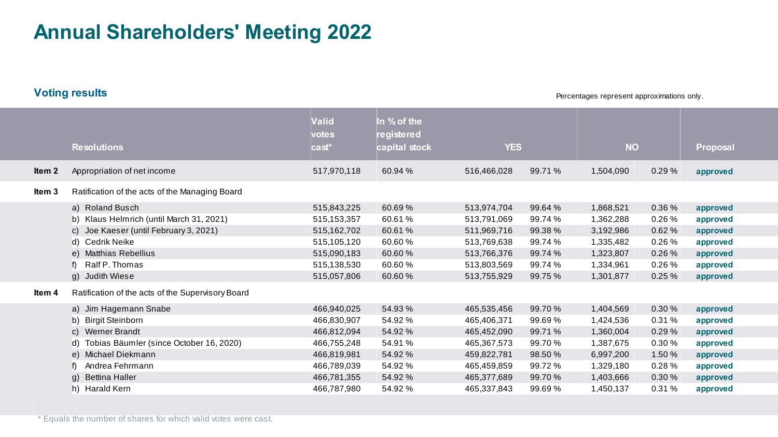## **Annual Shareholders' Meeting 2022**

**Voting results**

Percentages represent approximations only.

|        | <b>Resolutions</b>                                                                                                                                                               | <b>Valid</b><br>votes<br>cast <sup>*</sup>                                                            | In % of the<br>registered<br>capital stock                               | <b>YES</b>                                                                                            |                                                                         | <b>NO</b>                                                                               |                                                               | <b>Proposal</b>                                                                  |
|--------|----------------------------------------------------------------------------------------------------------------------------------------------------------------------------------|-------------------------------------------------------------------------------------------------------|--------------------------------------------------------------------------|-------------------------------------------------------------------------------------------------------|-------------------------------------------------------------------------|-----------------------------------------------------------------------------------------|---------------------------------------------------------------|----------------------------------------------------------------------------------|
| Item 2 | Appropriation of net income                                                                                                                                                      | 517,970,118                                                                                           | 60.94 %                                                                  | 516,466,028                                                                                           | 99.71 %                                                                 | 1,504,090                                                                               | 0.29%                                                         | approved                                                                         |
| ltem 3 | Ratification of the acts of the Managing Board                                                                                                                                   |                                                                                                       |                                                                          |                                                                                                       |                                                                         |                                                                                         |                                                               |                                                                                  |
|        | a) Roland Busch<br>b) Klaus Helmrich (until March 31, 2021)<br>c) Joe Kaeser (until February 3, 2021)<br>d) Cedrik Neike                                                         | 515,843,225<br>515, 153, 357<br>515,162,702<br>515,105,120                                            | 60.69%<br>60.61%<br>60.61%<br>60.60%                                     | 513,974,704<br>513,791,069<br>511,969,716<br>513,769,638                                              | 99.64 %<br>99.74 %<br>99.38%<br>99.74 %                                 | 1,868,521<br>1,362,288<br>3,192,986<br>1,335,482                                        | 0.36 %<br>0.26%<br>0.62%<br>0.26%                             | approved<br>approved<br>approved<br>approved                                     |
|        | e) Matthias Rebellius<br>f) Ralf P. Thomas<br>g) Judith Wiese                                                                                                                    | 515,090,183<br>515,138,530<br>515,057,806                                                             | 60.60%<br>60.60%<br>60.60%                                               | 513,766,376<br>513,803,569<br>513,755,929                                                             | 99.74 %<br>99.74 %<br>99.75 %                                           | 1,323,807<br>1,334,961<br>1,301,877                                                     | 0.26%<br>0.26%<br>0.25%                                       | approved<br>approved<br>approved                                                 |
| ltem 4 | Ratification of the acts of the Supervisory Board                                                                                                                                |                                                                                                       |                                                                          |                                                                                                       |                                                                         |                                                                                         |                                                               |                                                                                  |
|        | a) Jim Hagemann Snabe<br>b) Birgit Steinborn<br>c) Werner Brandt<br>d) Tobias Bäumler (since October 16, 2020)<br>e) Michael Diekmann<br>f) Andrea Fehrmann<br>g) Bettina Haller | 466,940,025<br>466,830,907<br>466,812,094<br>466,755,248<br>466,819,981<br>466,789,039<br>466,781,355 | 54.93 %<br>54.92 %<br>54.92 %<br>54.91%<br>54.92 %<br>54.92 %<br>54.92 % | 465,535,456<br>465,406,371<br>465,452,090<br>465,367,573<br>459,822,781<br>465,459,859<br>465,377,689 | 99.70 %<br>99.69 %<br>99.71 %<br>99.70%<br>98.50 %<br>99.72%<br>99.70 % | 1,404,569<br>1,424,536<br>1,360,004<br>1,387,675<br>6,997,200<br>1,329,180<br>1,403,666 | 0.30 %<br>0.31%<br>0.29%<br>0.30%<br>1.50 %<br>0.28%<br>0.30% | approved<br>approved<br>approved<br>approved<br>approved<br>approved<br>approved |
|        | h) Harald Kern                                                                                                                                                                   | 466,787,980                                                                                           | 54.92 %                                                                  | 465,337,843                                                                                           | 99.69%                                                                  | 1,450,137                                                                               | 0.31%                                                         | approved                                                                         |